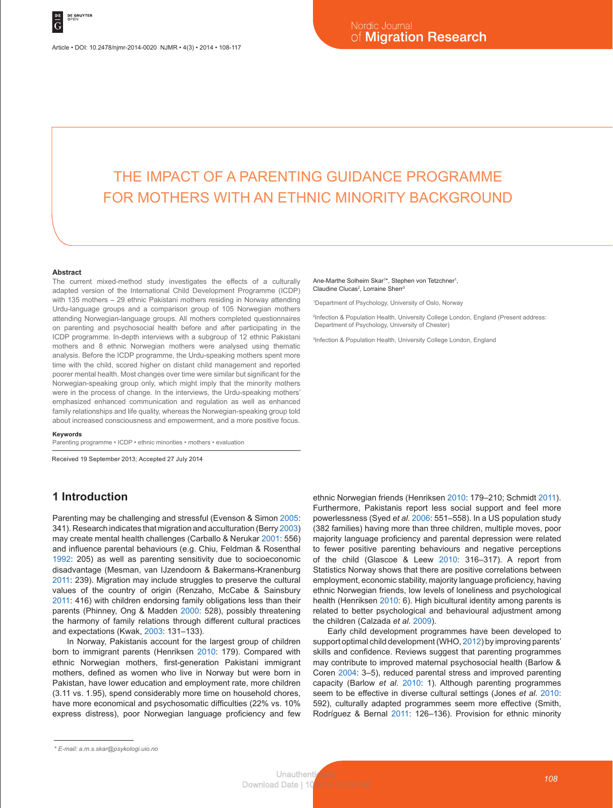# THE IMPACT OF A PARENTING GUIDANCE PROGRAMME FOR MOTHERS WITH AN ETHNIC MINORITY BACKGROUND

#### **Abstract**

The current mixed-method study investigates the effects of a culturally adapted version of the International Child Development Programme (ICDP) with 135 mothers – 29 ethnic Pakistani mothers residing in Norway attending Urdu-language groups and a comparison group of 105 Norwegian mothers attending Norwegian-language groups. All mothers completed questionnaires on parenting and psychosocial health before and after participating in the ICDP programme. In-depth interviews with a subgroup of 12 ethnic Pakistani mothers and 8 ethnic Norwegian mothers were analysed using thematic analysis. Before the ICDP programme, the Urdu-speaking mothers spent more time with the child, scored higher on distant child management and reported poorer mental health. Most changes over time were similar but significant for the Norwegian-speaking group only, which might imply that the minority mothers were in the process of change. In the interviews, the Urdu-speaking mothers' emphasized enhanced communication and regulation as well as enhanced family relationships and life quality, whereas the Norwegian-speaking group told about increased consciousness and empowerment, and a more positive focus.

#### **Keywords**

Parenting programme • ICDP • ethnic minorities • mothers • evaluation

Received 19 September 2013; Accepted 27 July 2014

# **1 Introduction**

Parenting may be challenging and stressful (Evenson & Simon 2005: 341). Research indicates that migration and acculturation (Berry 2003) may create mental health challenges (Carballo & Nerukar 2001: 556) and influence parental behaviours (e.g. Chiu, Feldman & Rosenthal 1992: 205) as well as parenting sensitivity due to socioeconomic disadvantage (Mesman, van IJzendoorn & Bakermans-Kranenburg 2011: 239). Migration may include struggles to preserve the cultural values of the country of origin (Renzaho, McCabe & Sainsbury 2011: 416) with children endorsing family obligations less than their parents (Phinney, Ong & Madden 2000: 528), possibly threatening the harmony of family relations through different cultural practices and expectations (Kwak, 2003: 131–133).

In Norway, Pakistanis account for the largest group of children born to immigrant parents (Henriksen 2010: 179). Compared with ethnic Norwegian mothers, first-generation Pakistani immigrant mothers, defined as women who live in Norway but were born in Pakistan, have lower education and employment rate, more children (3.11 vs. 1.95), spend considerably more time on household chores, have more economical and psychosomatic difficulties (22% vs. 10% express distress), poor Norwegian language proficiency and few

#### Ane-Marthe Solheim Skar<sup>1\*</sup>, Stephen von Tetzchner<sup>1</sup>, Claudine Clucas<sup>2</sup>, Lorraine Sherr<sup>3</sup>

1 Department of Psychology, University of Oslo, Norway

2 Infection & Population Health, University College London, England (Present address: Department of Psychology, University of Chester)

3 Infection & Population Health, University College London, England

ethnic Norwegian friends (Henriksen 2010: 179–210; Schmidt 2011). Furthermore, Pakistanis report less social support and feel more powerlessness (Syed *et al*. 2006: 551–558). In a US population study (382 families) having more than three children, multiple moves, poor majority language proficiency and parental depression were related to fewer positive parenting behaviours and negative perceptions of the child (Glascoe & Leew 2010: 316–317). A report from Statistics Norway shows that there are positive correlations between employment, economic stability, majority language proficiency, having ethnic Norwegian friends, low levels of loneliness and psychological health (Henriksen 2010: 6). High bicultural identity among parents is related to better psychological and behavioural adjustment among the children (Calzada *et al.* 2009).

Early child development programmes have been developed to support optimal child development (WHO, 2012) by improving parents' skills and confidence. Reviews suggest that parenting programmes may contribute to improved maternal psychosocial health (Barlow & Coren 2004: 3–5), reduced parental stress and improved parenting capacity (Barlow *et al*. 2010: 1). Although parenting programmes seem to be effective in diverse cultural settings (Jones *et al.* 2010: 592), culturally adapted programmes seem more effective (Smith, Rodríguez & Bernal 2011: 126–136). Provision for ethnic minority

*<sup>\*</sup> E-mail: a.m.s.skar@psykologi.uio.no*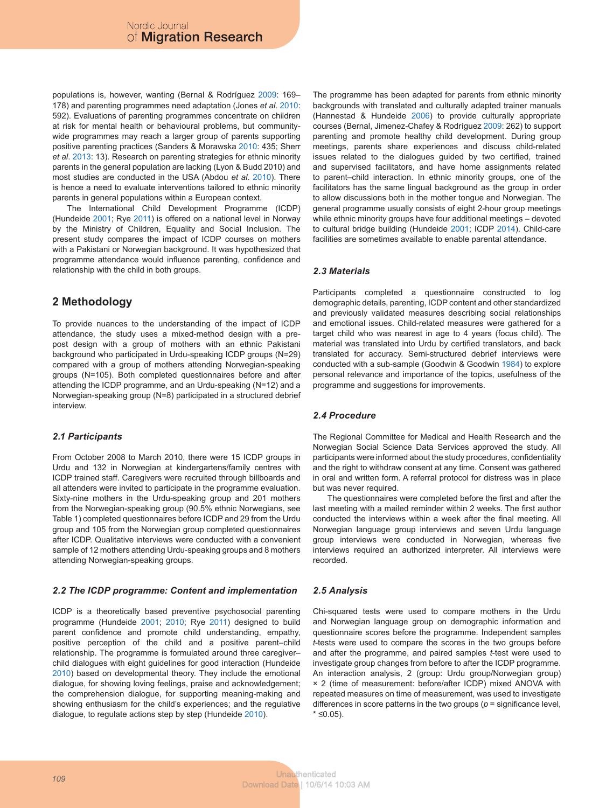populations is, however, wanting (Bernal & Rodríguez 2009: 169– 178) and parenting programmes need adaptation (Jones *et al*. 2010: 592). Evaluations of parenting programmes concentrate on children at risk for mental health or behavioural problems, but communitywide programmes may reach a larger group of parents supporting positive parenting practices (Sanders & Morawska 2010: 435; Sherr *et al*. 2013: 13). Research on parenting strategies for ethnic minority parents in the general population are lacking (Lyon & Budd 2010) and most studies are conducted in the USA (Abdou *et al*. 2010). There is hence a need to evaluate interventions tailored to ethnic minority parents in general populations within a European context.

The International Child Development Programme (ICDP) (Hundeide 2001; Rye 2011) is offered on a national level in Norway by the Ministry of Children, Equality and Social Inclusion. The present study compares the impact of ICDP courses on mothers with a Pakistani or Norwegian background. It was hypothesized that programme attendance would influence parenting, confidence and relationship with the child in both groups.

# **2 Methodology**

To provide nuances to the understanding of the impact of ICDP attendance, the study uses a mixed-method design with a prepost design with a group of mothers with an ethnic Pakistani background who participated in Urdu-speaking ICDP groups (N=29) compared with a group of mothers attending Norwegian-speaking groups (N=105). Both completed questionnaires before and after attending the ICDP programme, and an Urdu-speaking (N=12) and a Norwegian-speaking group (N=8) participated in a structured debrief interview.

# *2.1 Participants*

From October 2008 to March 2010, there were 15 ICDP groups in Urdu and 132 in Norwegian at kindergartens/family centres with ICDP trained staff. Caregivers were recruited through billboards and all attenders were invited to participate in the programme evaluation. Sixty-nine mothers in the Urdu-speaking group and 201 mothers from the Norwegian-speaking group (90.5% ethnic Norwegians, see Table 1) completed questionnaires before ICDP and 29 from the Urdu group and 105 from the Norwegian group completed questionnaires after ICDP. Qualitative interviews were conducted with a convenient sample of 12 mothers attending Urdu-speaking groups and 8 mothers attending Norwegian-speaking groups.

# *2.2 The ICDP programme: Content and implementation*

ICDP is a theoretically based preventive psychosocial parenting programme (Hundeide 2001; 2010; Rye 2011) designed to build parent confidence and promote child understanding, empathy, positive perception of the child and a positive parent–child relationship. The programme is formulated around three caregiver– child dialogues with eight guidelines for good interaction (Hundeide 2010) based on developmental theory. They include the emotional dialogue, for showing loving feelings, praise and acknowledgement; the comprehension dialogue, for supporting meaning-making and showing enthusiasm for the child's experiences; and the regulative dialogue, to regulate actions step by step (Hundeide 2010).

The programme has been adapted for parents from ethnic minority backgrounds with translated and culturally adapted trainer manuals (Hannestad & Hundeide 2006) to provide culturally appropriate courses (Bernal, Jimenez-Chafey & Rodríguez 2009: 262) to support parenting and promote healthy child development. During group meetings, parents share experiences and discuss child-related issues related to the dialogues guided by two certified, trained and supervised facilitators, and have home assignments related to parent–child interaction. In ethnic minority groups, one of the facilitators has the same lingual background as the group in order to allow discussions both in the mother tongue and Norwegian. The general programme usually consists of eight 2-hour group meetings while ethnic minority groups have four additional meetings – devoted to cultural bridge building (Hundeide 2001; ICDP 2014). Child-care facilities are sometimes available to enable parental attendance.

# *2.3 Materials*

Participants completed a questionnaire constructed to log demographic details, parenting, ICDP content and other standardized and previously validated measures describing social relationships and emotional issues. Child-related measures were gathered for a target child who was nearest in age to 4 years (focus child). The material was translated into Urdu by certified translators, and back translated for accuracy. Semi-structured debrief interviews were conducted with a sub-sample (Goodwin & Goodwin 1984) to explore personal relevance and importance of the topics, usefulness of the programme and suggestions for improvements.

### *2.4 Procedure*

The Regional Committee for Medical and Health Research and the Norwegian Social Science Data Services approved the study. All participants were informed about the study procedures, confidentiality and the right to withdraw consent at any time. Consent was gathered in oral and written form. A referral protocol for distress was in place but was never required.

The questionnaires were completed before the first and after the last meeting with a mailed reminder within 2 weeks. The first author conducted the interviews within a week after the final meeting. All Norwegian language group interviews and seven Urdu language group interviews were conducted in Norwegian, whereas five interviews required an authorized interpreter. All interviews were recorded.

# *2.5 Analysis*

Chi-squared tests were used to compare mothers in the Urdu and Norwegian language group on demographic information and questionnaire scores before the programme. Independent samples *t*-tests were used to compare the scores in the two groups before and after the programme, and paired samples *t*-test were used to investigate group changes from before to after the ICDP programme. An interaction analysis, 2 (group: Urdu group/Norwegian group) × 2 (time of measurement: before/after ICDP) mixed ANOVA with repeated measures on time of measurement, was used to investigate differences in score patterns in the two groups (*p* = significance level, \* ≤0.05).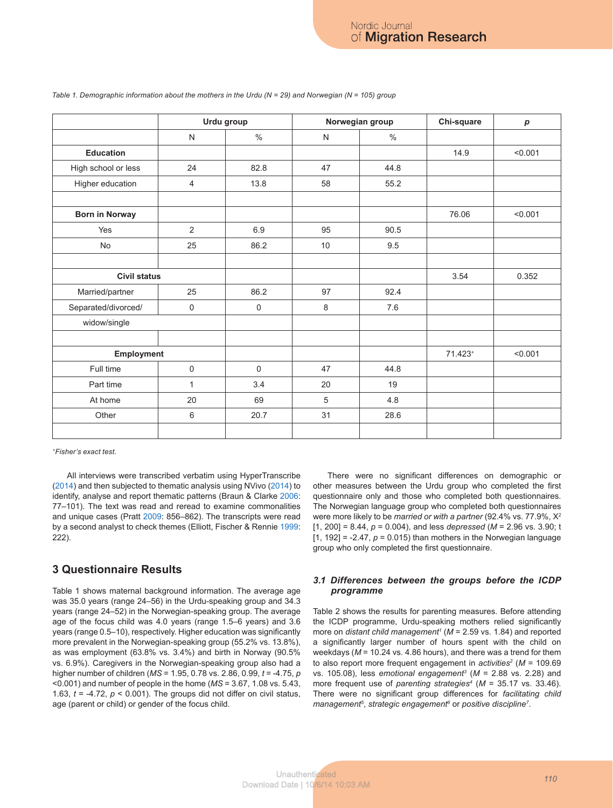|                       |              | Urdu group |              | Norwegian group | Chi-square | p       |
|-----------------------|--------------|------------|--------------|-----------------|------------|---------|
|                       | $\mathsf{N}$ | $\%$       | $\mathsf{N}$ | $\%$            |            |         |
| <b>Education</b>      |              |            |              |                 | 14.9       | < 0.001 |
| High school or less   | 24           | 82.8       | 47           | 44.8            |            |         |
| Higher education      | 4            | 13.8       | 58           | 55.2            |            |         |
| <b>Born in Norway</b> |              |            |              |                 | 76.06      | < 0.001 |
| Yes                   | 2            | 6.9        | 95           | 90.5            |            |         |
| No                    | 25           | 86.2       | 10           | 9.5             |            |         |
| <b>Civil status</b>   |              |            |              |                 | 3.54       | 0.352   |
| Married/partner       | 25           | 86.2       | 97           | 92.4            |            |         |
| Separated/divorced/   | 0            |            | 8            | 7.6             |            |         |
| widow/single          |              |            |              |                 |            |         |
| Employment            |              |            |              | 71.423+         | < 0.001    |         |
| Full time             | $\mathsf 0$  |            | 47           | 44.8            |            |         |
| Part time             | 1            |            | 20           | 19              |            |         |
| At home               | 20           |            | $\sqrt{5}$   | 4.8             |            |         |
| Other                 | 6            |            | 31           | 28.6            |            |         |
|                       |              |            |              |                 |            |         |

#### *Table 1. Demographic information about the mothers in the Urdu (N = 29) and Norwegian (N = 105) group*

*+Fisher's exact test.*

All interviews were transcribed verbatim using HyperTranscribe (2014) and then subjected to thematic analysis using NVivo (2014) to identify, analyse and report thematic patterns (Braun & Clarke 2006: 77–101). The text was read and reread to examine commonalities and unique cases (Pratt 2009: 856–862). The transcripts were read by a second analyst to check themes (Elliott, Fischer & Rennie 1999: 222).

# **3 Questionnaire Results**

Table 1 shows maternal background information. The average age was 35.0 years (range 24–56) in the Urdu-speaking group and 34.3 years (range 24–52) in the Norwegian-speaking group. The average age of the focus child was 4.0 years (range 1.5–6 years) and 3.6 years (range 0.5–10), respectively. Higher education was significantly more prevalent in the Norwegian-speaking group (55.2% vs. 13.8%), as was employment (63.8% vs. 3.4%) and birth in Norway (90.5% vs. 6.9%). Caregivers in the Norwegian-speaking group also had a higher number of children (*MS* = 1.95, 0.78 vs. 2.86, 0.99, *t* = ‑4.75, *p* <0.001) and number of people in the home (*MS* = 3.67, 1.08 vs. 5.43, 1.63,  $t = -4.72$ ,  $p < 0.001$ ). The groups did not differ on civil status, age (parent or child) or gender of the focus child.

There were no significant differences on demographic or other measures between the Urdu group who completed the first questionnaire only and those who completed both questionnaires. The Norwegian language group who completed both questionnaires were more likely to be *married or with a partner* (92.4% vs. 77.9%, X2 [1, 200] = 8.44, *p* = 0.004), and less *depressed* (*M* = 2.96 vs. 3.90; t  $[1, 192] = -2.47$ ,  $p = 0.015$ ) than mothers in the Norwegian language group who only completed the first questionnaire.

### *3.1 Differences between the groups before the ICDP programme*

Table 2 shows the results for parenting measures. Before attending the ICDP programme, Urdu-speaking mothers relied significantly more on *distant child management<sup>1</sup>* (*M* = 2.59 vs. 1.84) and reported a significantly larger number of hours spent with the child on weekdays (*M* = 10.24 vs. 4.86 hours), and there was a trend for them to also report more frequent engagement in *activities2* (*M* = 109.69 vs. 105.08), less *emotional engagement3* (*M* = 2.88 vs. 2.28) and more frequent use of *parenting strategies4* (*M* = 35.17 vs. 33.46). There were no significant group differences for *facilitating child*  management<sup>5</sup>, strategic engagement<sup>6</sup> or positive discipline<sup>7</sup>.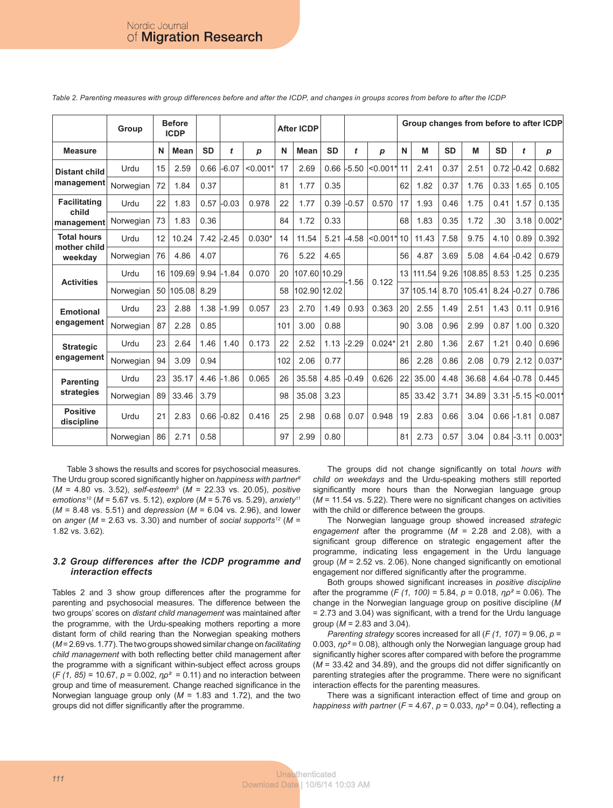|                                               | Group     |    | <b>Before</b><br><b>ICDP</b> |           |              |            |     | <b>After ICDP</b> |           |         |            | Group changes from before to after ICDP |        |           |        |           |         |                  |  |
|-----------------------------------------------|-----------|----|------------------------------|-----------|--------------|------------|-----|-------------------|-----------|---------|------------|-----------------------------------------|--------|-----------|--------|-----------|---------|------------------|--|
| <b>Measure</b>                                |           | N  | Mean                         | <b>SD</b> | t            | p          | N   | <b>Mean</b>       | <b>SD</b> | t       | p          | N                                       | M      | <b>SD</b> | M      | <b>SD</b> | t       | $\boldsymbol{p}$ |  |
| <b>Distant child</b><br>management            | Urdu      | 15 | 2.59                         | 0.66      | $-6.07$      | $< 0.001*$ | 17  | 2.69              | 0.66      | $-5.50$ | $< 0.001*$ | 11                                      | 2.41   | 0.37      | 2.51   | 0.72      | $-0.42$ | 0.682            |  |
|                                               | Norwegian | 72 | 1.84                         | 0.37      |              |            | 81  | 1.77              | 0.35      |         |            | 62                                      | 1.82   | 0.37      | 1.76   | 0.33      | 1.65    | 0.105            |  |
| <b>Facilitating</b><br>child<br>management    | Urdu      | 22 | 1.83                         | 0.57      | $-0.03$      | 0.978      | 22  | 1.77              | 0.39      | $-0.57$ | 0.570      | 17                                      | 1.93   | 0.46      | 1.75   | 0.41      | 1.57    | 0.135            |  |
|                                               | Norwegian | 73 | 1.83                         | 0.36      |              |            | 84  | 1.72              | 0.33      |         |            | 68                                      | 1.83   | 0.35      | 1.72   | .30       | 3.18    | $0.002*$         |  |
| <b>Total hours</b><br>mother child<br>weekday | Urdu      | 12 | 10.24                        | 7.42      | $-2.45$      | $0.030*$   | 14  | 11.54             | 5.21      | $-4.58$ | $< 0.001*$ | 10                                      | 11.43  | 7.58      | 9.75   | 4.10      | 0.89    | 0.392            |  |
|                                               | Norwegian | 76 | 4.86                         | 4.07      |              |            | 76  | 5.22              | 4.65      |         |            | 56                                      | 4.87   | 3.69      | 5.08   | 4.64      | $-0.42$ | 0.679            |  |
| <b>Activities</b>                             | Urdu      | 16 | 109.69                       | 9.94      | $-1.84$      | 0.070      | 20  | 107.60 10.29      |           | $-1.56$ | 0.122      | 13                                      | 111.54 | 9.26      | 108.85 | 8.53      | 1.25    | 0.235            |  |
|                                               | Norwegian | 50 | 105.08                       | 8.29      |              |            | 58  | 102.90 12.02      |           |         |            | 37                                      | 105.14 | 8.70      | 105.41 | 8.24      | $-0.27$ | 0.786            |  |
| <b>Emotional</b>                              | Urdu      | 23 | 2.88                         | 1.38      | $-1.99$      | 0.057      | 23  | 2.70              | 1.49      | 0.93    | 0.363      | 20                                      | 2.55   | 1.49      | 2.51   | 1.43      | 0.11    | 0.916            |  |
| engagement                                    | Norwegian | 87 | 2.28                         | 0.85      |              |            | 101 | 3.00              | 0.88      |         |            | 90                                      | 3.08   | 0.96      | 2.99   | 0.87      | 1.00    | 0.320            |  |
| <b>Strategic</b>                              | Urdu      | 23 | 2.64                         | 1.46      | 1.40         | 0.173      | 22  | 2.52              | 1.13      | $-2.29$ | $0.024*$   | 21                                      | 2.80   | 1.36      | 2.67   | 1.21      | 0.40    | 0.696            |  |
| engagement                                    | Norwegian | 94 | 3.09                         | 0.94      |              |            | 102 | 2.06              | 0.77      |         |            | 86                                      | 2.28   | 0.86      | 2.08   | 0.79      | 2.12    | $0.037*$         |  |
| <b>Parenting</b><br>strategies                | Urdu      | 23 | 35.17                        |           | $4.46$ -1.86 | 0.065      | 26  | 35.58             | 4.85      | $-0.49$ | 0.626      | 22                                      | 35.00  | 4.48      | 36.68  | 4.64      | $-0.78$ | 0.445            |  |
|                                               | Norwegian | 89 | 33.46                        | 3.79      |              |            | 98  | 35.08             | 3.23      |         |            | 85                                      | 33.42  | 3.71      | 34.89  | 3.31      | $-5.15$ | <sub>0.001</sub> |  |
| <b>Positive</b><br>discipline                 | Urdu      | 21 | 2.83                         | 0.66      | $-0.82$      | 0.416      | 25  | 2.98              | 0.68      | 0.07    | 0.948      | 19                                      | 2.83   | 0.66      | 3.04   | 0.66      | $-1.81$ | 0.087            |  |
|                                               | Norwegian | 86 | 2.71                         | 0.58      |              |            | 97  | 2.99              | 0.80      |         |            | 81                                      | 2.73   | 0.57      | 3.04   | 0.84      | $-3.11$ | $0.003*$         |  |

*Table 2. Parenting measures with group differences before and after the ICDP, and changes in groups scores from before to after the ICDP*

Table 3 shows the results and scores for psychosocial measures. The Urdu group scored significantly higher on *happiness with partner8* (*M* = 4.80 vs. 3.52), *self-esteem9* (*M* = 22.33 vs. 20.05), *positive emotions10* (*M* = 5.67 vs. 5.12), *explore* (*M* = 5.76 vs. 5.29), *anxiety11* (*M* = 8.48 vs. 5.51) and *depression* (*M* = 6.04 vs. 2.96), and lower on *anger* ( $M = 2.63$  vs. 3.30) and number of *social supports<sup>12</sup>* ( $M =$ 1.82 vs. 3.62).

### *3.2 Group differences after the ICDP programme and interaction effects*

Tables 2 and 3 show group differences after the programme for parenting and psychosocial measures. The difference between the two groups' scores on *distant child management* was maintained after the programme, with the Urdu-speaking mothers reporting a more distant form of child rearing than the Norwegian speaking mothers (*M* = 2.69 vs. 1.77). The two groups showed similar change on *facilitating child management* with both reflecting better child management after the programme with a significant within-subject effect across groups (*F (1, 85)* = 10.67, *p* = 0.002, *ηρ²* = 0.11) and no interaction between group and time of measurement. Change reached significance in the Norwegian language group only (*M* = 1.83 and 1.72), and the two groups did not differ significantly after the programme.

The groups did not change significantly on total *hours with child on weekdays* and the Urdu-speaking mothers still reported significantly more hours than the Norwegian language group (*M* = 11.54 vs. 5.22). There were no significant changes on activities with the child or difference between the groups.

The Norwegian language group showed increased *strategic engagement* after the programme (*M* = 2.28 and 2.08), with a significant group difference on strategic engagement after the programme, indicating less engagement in the Urdu language group (*M* = 2.52 vs. 2.06). None changed significantly on emotional engagement nor differed significantly after the programme.

Both groups showed significant increases in *positive discipline* after the programme (*F (1, 100)* = 5.84, *p* = 0.018, *ηρ²* = 0.06). The change in the Norwegian language group on positive discipline (*M*  = 2.73 and 3.04) was significant, with a trend for the Urdu language group (*M* = 2.83 and 3.04).

*Parenting strategy* scores increased for all ( $F(1, 107) = 9.06$ ,  $p =$ 0.003, *ηρ²* = 0.08), although only the Norwegian language group had significantly higher scores after compared with before the programme (*M* = 33.42 and 34.89), and the groups did not differ significantly on parenting strategies after the programme. There were no significant interaction effects for the parenting measures.

There was a significant interaction effect of time and group on *happiness with partner* (*F* = 4.67, *p* = 0.033, *ηρ²* = 0.04), reflecting a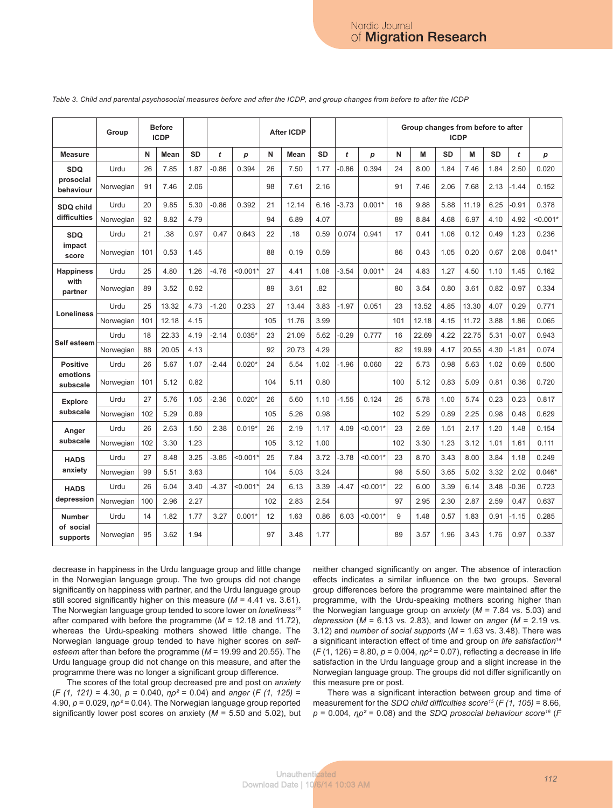|                           | Group     |     | <b>Before</b><br><b>ICDP</b> |           |         |            |     | <b>After ICDP</b> |           |         |            | Group changes from before to after<br><b>ICDP</b> |       |           |       |           |         |                  |
|---------------------------|-----------|-----|------------------------------|-----------|---------|------------|-----|-------------------|-----------|---------|------------|---------------------------------------------------|-------|-----------|-------|-----------|---------|------------------|
| <b>Measure</b>            |           | N   | Mean                         | <b>SD</b> | t       | p          | N   | Mean              | <b>SD</b> | t       | p          | N                                                 | M     | <b>SD</b> | M     | <b>SD</b> | t       | $\boldsymbol{p}$ |
| <b>SDQ</b>                | Urdu      | 26  | 7.85                         | 1.87      | $-0.86$ | 0.394      | 26  | 7.50              | 1.77      | $-0.86$ | 0.394      | 24                                                | 8.00  | 1.84      | 7.46  | 1.84      | 2.50    | 0.020            |
| prosocial<br>behaviour    | Norwegian | 91  | 7.46                         | 2.06      |         |            | 98  | 7.61              | 2.16      |         |            | 91                                                | 7.46  | 2.06      | 7.68  | 2.13      | $-1.44$ | 0.152            |
| SDQ child                 | Urdu      | 20  | 9.85                         | 5.30      | $-0.86$ | 0.392      | 21  | 12.14             | 6.16      | $-3.73$ | $0.001*$   | 16                                                | 9.88  | 5.88      | 11.19 | 6.25      | 0.91    | 0.378            |
| difficulties              | Norwegian | 92  | 8.82                         | 4.79      |         |            | 94  | 6.89              | 4.07      |         |            | 89                                                | 8.84  | 4.68      | 6.97  | 4.10      | 4.92    | $< 0.001*$       |
| <b>SDQ</b>                | Urdu      | 21  | .38                          | 0.97      | 0.47    | 0.643      | 22  | .18               | 0.59      | 0.074   | 0.941      | 17                                                | 0.41  | 1.06      | 0.12  | 0.49      | 1.23    | 0.236            |
| impact<br>score           | Norwegian | 101 | 0.53                         | 1.45      |         |            | 88  | 0.19              | 0.59      |         |            | 86                                                | 0.43  | 1.05      | 0.20  | 0.67      | 2.08    | $0.041*$         |
| <b>Happiness</b>          | Urdu      | 25  | 4.80                         | 1.26      | $-4.76$ | < 0.001    | 27  | 4.41              | 1.08      | $-3.54$ | $0.001*$   | 24                                                | 4.83  | 1.27      | 4.50  | 1.10      | 1.45    | 0.162            |
| with<br>partner           | Norwegian | 89  | 3.52                         | 0.92      |         |            | 89  | 3.61              | .82       |         |            | 80                                                | 3.54  | 0.80      | 3.61  | 0.82      | $-0.97$ | 0.334            |
| <b>Loneliness</b>         | Urdu      | 25  | 13.32                        | 4.73      | $-1.20$ | 0.233      | 27  | 13.44             | 3.83      | $-1.97$ | 0.051      | 23                                                | 13.52 | 4.85      | 13.30 | 4.07      | 0.29    | 0.771            |
|                           | Norwegian | 101 | 12.18                        | 4.15      |         |            | 105 | 11.76             | 3.99      |         |            | 101                                               | 12.18 | 4.15      | 11.72 | 3.88      | 1.86    | 0.065            |
| Self esteem               | Urdu      | 18  | 22.33                        | 4.19      | $-2.14$ | $0.035*$   | 23  | 21.09             | 5.62      | $-0.29$ | 0.777      | 16                                                | 22.69 | 4.22      | 22.75 | 5.31      | $-0.07$ | 0.943            |
|                           | Norwegian | 88  | 20.05                        | 4.13      |         |            | 92  | 20.73             | 4.29      |         |            | 82                                                | 19.99 | 4.17      | 20.55 | 4.30      | $-1.81$ | 0.074            |
| <b>Positive</b>           | Urdu      | 26  | 5.67                         | 1.07      | $-2.44$ | $0.020*$   | 24  | 5.54              | 1.02      | $-1.96$ | 0.060      | 22                                                | 5.73  | 0.98      | 5.63  | 1.02      | 0.69    | 0.500            |
| emotions<br>subscale      | Norwegian | 101 | 5.12                         | 0.82      |         |            | 104 | 5.11              | 0.80      |         |            | 100                                               | 5.12  | 0.83      | 5.09  | 0.81      | 0.36    | 0.720            |
| <b>Explore</b>            | Urdu      | 27  | 5.76                         | 1.05      | $-2.36$ | $0.020*$   | 26  | 5.60              | 1.10      | $-1.55$ | 0.124      | 25                                                | 5.78  | 1.00      | 5.74  | 0.23      | 0.23    | 0.817            |
| subscale                  | Norwegian | 102 | 5.29                         | 0.89      |         |            | 105 | 5.26              | 0.98      |         |            | 102                                               | 5.29  | 0.89      | 2.25  | 0.98      | 0.48    | 0.629            |
| Anger                     | Urdu      | 26  | 2.63                         | 1.50      | 2.38    | $0.019*$   | 26  | 2.19              | 1.17      | 4.09    | $< 0.001*$ | 23                                                | 2.59  | 1.51      | 2.17  | 1.20      | 1.48    | 0.154            |
| subscale                  | Norwegian | 102 | 3.30                         | 1.23      |         |            | 105 | 3.12              | 1.00      |         |            | 102                                               | 3.30  | 1.23      | 3.12  | 1.01      | 1.61    | 0.111            |
| <b>HADS</b><br>anxiety    | Urdu      | 27  | 8.48                         | 3.25      | $-3.85$ | $< 0.001*$ | 25  | 7.84              | 3.72      | $-3.78$ | $< 0.001*$ | 23                                                | 8.70  | 3.43      | 8.00  | 3.84      | 1.18    | 0.249            |
|                           | Norwegian | 99  | 5.51                         | 3.63      |         |            | 104 | 5.03              | 3.24      |         |            | 98                                                | 5.50  | 3.65      | 5.02  | 3.32      | 2.02    | $0.046*$         |
| <b>HADS</b><br>depression | Urdu      | 26  | 6.04                         | 3.40      | $-4.37$ | $< 0.001*$ | 24  | 6.13              | 3.39      | $-4.47$ | $< 0.001*$ | 22                                                | 6.00  | 3.39      | 6.14  | 3.48      | $-0.36$ | 0.723            |
|                           | Norwegian | 100 | 2.96                         | 2.27      |         |            | 102 | 2.83              | 2.54      |         |            | 97                                                | 2.95  | 2.30      | 2.87  | 2.59      | 0.47    | 0.637            |
| <b>Number</b>             | Urdu      | 14  | 1.82                         | 1.77      | 3.27    | $0.001*$   | 12  | 1.63              | 0.86      | 6.03    | $< 0.001*$ | 9                                                 | 1.48  | 0.57      | 1.83  | 0.91      | $-1.15$ | 0.285            |
| of social<br>supports     | Norwegian | 95  | 3.62                         | 1.94      |         |            | 97  | 3.48              | 1.77      |         |            | 89                                                | 3.57  | 1.96      | 3.43  | 1.76      | 0.97    | 0.337            |

*Table 3. Child and parental psychosocial measures before and after the ICDP, and group changes from before to after the ICDP*

decrease in happiness in the Urdu language group and little change in the Norwegian language group. The two groups did not change significantly on happiness with partner, and the Urdu language group still scored significantly higher on this measure (*M* = 4.41 vs. 3.61). The Norwegian language group tended to score lower on *loneliness13* after compared with before the programme (*M* = 12.18 and 11.72), whereas the Urdu-speaking mothers showed little change. The Norwegian language group tended to have higher scores on *selfesteem* after than before the programme (*M* = 19.99 and 20.55). The Urdu language group did not change on this measure, and after the programme there was no longer a significant group difference.

The scores of the total group decreased pre and post on *anxiety* (*F (1, 121)* = 4.30, *p* = 0.040, *ηρ²* = 0.04) and *anger* (*F (1, 125)* = 4.90,  $p = 0.029$ ,  $p^2 = 0.04$ ). The Norwegian language group reported significantly lower post scores on anxiety (*M* = 5.50 and 5.02), but neither changed significantly on anger. The absence of interaction effects indicates a similar influence on the two groups. Several group differences before the programme were maintained after the programme, with the Urdu-speaking mothers scoring higher than the Norwegian language group on *anxiety* (*M* = 7.84 vs. 5.03) and *depression* (*M* = 6.13 vs. 2.83), and lower on *anger* (*M* = 2.19 vs. 3.12) and *number of social supports* (*M* = 1.63 vs. 3.48). There was a significant interaction effect of time and group on *life satisfaction14* (*F* (1, 126) = 8.80, *p* = 0.004, *ηρ²* = 0.07), reflecting a decrease in life satisfaction in the Urdu language group and a slight increase in the Norwegian language group. The groups did not differ significantly on this measure pre or post.

There was a significant interaction between group and time of measurement for the *SDQ child difficulties score<sup>15</sup> (F (1, 105)* = 8.66, *p* = 0.004, *ηρ²* = 0.08) and the *SDQ prosocial behaviour score16* (*F*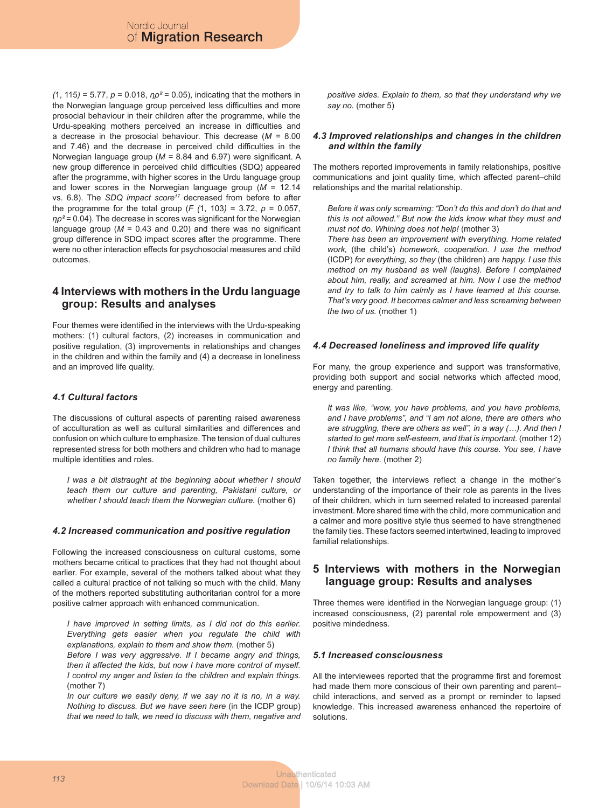*(*1, 115*)* = 5.77, *p* = 0.018, *ηρ²* = 0.05), indicating that the mothers in the Norwegian language group perceived less difficulties and more prosocial behaviour in their children after the programme, while the Urdu-speaking mothers perceived an increase in difficulties and a decrease in the prosocial behaviour. This decrease (*M =* 8.00 and 7.46) and the decrease in perceived child difficulties in the Norwegian language group (*M =* 8.84 and 6.97) were significant. A new group difference in perceived child difficulties (SDQ) appeared after the programme, with higher scores in the Urdu language group and lower scores in the Norwegian language group (*M* = 12.14 vs. 6.8). The *SDQ impact score<sup>17</sup>* decreased from before to after the programme for the total group (*F (*1, 103*)* = 3.72, *p* = 0.057, *ηρ²* = 0.04). The decrease in scores was significant for the Norwegian language group ( $M = 0.43$  and 0.20) and there was no significant group difference in SDQ impact scores after the programme. There were no other interaction effects for psychosocial measures and child outcomes.

# **4 Interviews with mothers in the Urdu language group: Results and analyses**

Four themes were identified in the interviews with the Urdu-speaking mothers: (1) cultural factors, (2) increases in communication and positive regulation, (3) improvements in relationships and changes in the children and within the family and (4) a decrease in loneliness and an improved life quality.

# *4.1 Cultural factors*

The discussions of cultural aspects of parenting raised awareness of acculturation as well as cultural similarities and differences and confusion on which culture to emphasize. The tension of dual cultures represented stress for both mothers and children who had to manage multiple identities and roles.

*I was a bit distraught at the beginning about whether I should teach them our culture and parenting, Pakistani culture, or whether I should teach them the Norwegian culture.* (mother 6)

# *4.2 Increased communication and positive regulation*

Following the increased consciousness on cultural customs, some mothers became critical to practices that they had not thought about earlier. For example, several of the mothers talked about what they called a cultural practice of not talking so much with the child. Many of the mothers reported substituting authoritarian control for a more positive calmer approach with enhanced communication.

*I have improved in setting limits, as I did not do this earlier. Everything gets easier when you regulate the child with explanations, explain to them and show them.* (mother 5)

*Before I was very aggressive. If I became angry and things, then it affected the kids, but now I have more control of myself. I control my anger and listen to the children and explain things.* (mother 7)

*In our culture we easily deny, if we say no it is no, in a way. Nothing to discuss. But we have seen here* (in the ICDP group) *that we need to talk, we need to discuss with them, negative and*  *positive sides. Explain to them, so that they understand why we say no.* (mother 5)

### *4.3 Improved relationships and changes in the children and within the family*

The mothers reported improvements in family relationships, positive communications and joint quality time, which affected parent–child relationships and the marital relationship.

*Before it was only screaming: "Don't do this and don't do that and this is not allowed." But now the kids know what they must and must not do. Whining does not help!* (mother 3)

*There has been an improvement with everything. Home related work,* (the child's) *homework, cooperation. I use the method*  (ICDP) *for everything, so they* (the children) *are happy. I use this method on my husband as well (laughs). Before I complained about him, really, and screamed at him. Now I use the method and try to talk to him calmly as I have learned at this course. That's very good. It becomes calmer and less screaming between the two of us.* (mother 1)

# *4.4 Decreased loneliness and improved life quality*

For many, the group experience and support was transformative, providing both support and social networks which affected mood, energy and parenting.

*It was like, "wow, you have problems, and you have problems, and I have problems", and "I am not alone, there are others who are struggling, there are others as well", in a way (…). And then I started to get more self-esteem, and that is important.* (mother 12) *I think that all humans should have this course. You see, I have no family here.* (mother 2)

Taken together, the interviews reflect a change in the mother's understanding of the importance of their role as parents in the lives of their children, which in turn seemed related to increased parental investment. More shared time with the child, more communication and a calmer and more positive style thus seemed to have strengthened the family ties. These factors seemed intertwined, leading to improved familial relationships.

# **5 Interviews with mothers in the Norwegian language group: Results and analyses**

Three themes were identified in the Norwegian language group: (1) increased consciousness, (2) parental role empowerment and (3) positive mindedness.

# *5.1 Increased consciousness*

All the interviewees reported that the programme first and foremost had made them more conscious of their own parenting and parentchild interactions, and served as a prompt or reminder to lapsed knowledge. This increased awareness enhanced the repertoire of solutions.

*<sup>113</sup>* Unauthenticated Download Date | 10/6/14 10:03 AM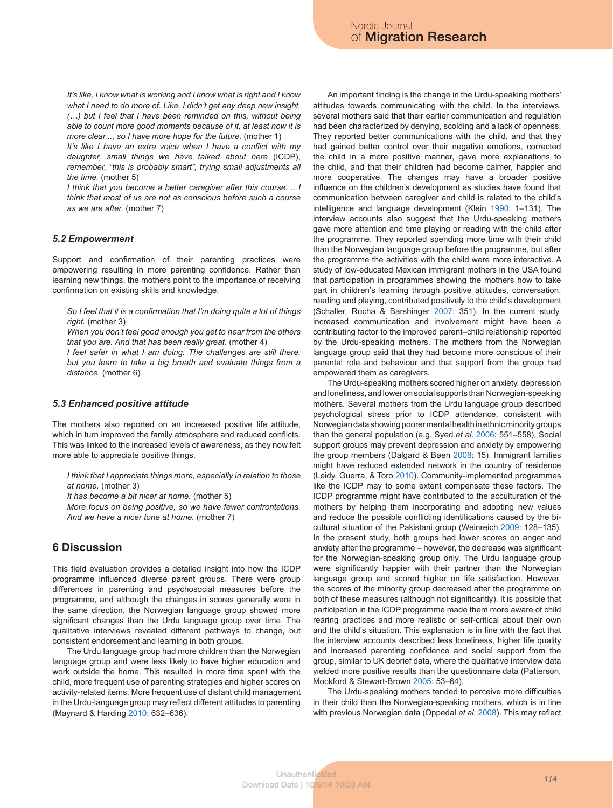*It's like, I know what is working and I know what is right and I know what I need to do more of. Like, I didn't get any deep new insight, (…) but I feel that I have been reminded on this, without being able to count more good moments because of it, at least now it is more clear .., so I have more hope for the future.* (mother 1)

*It's like I have an extra voice when I have a conflict with my daughter, small things we have talked about here* (ICDP), remember, "this is probably smart", trying small adjustments all *the time.* (mother 5)

*I think that you become a better caregiver after this course. .. I think that most of us are not as conscious before such a course as we are after.* (mother 7)

#### *5.2 Empowerment*

Support and confirmation of their parenting practices were empowering resulting in more parenting confidence. Rather than learning new things, the mothers point to the importance of receiving confirmation on existing skills and knowledge.

*So I feel that it is a confirmation that I'm doing quite a lot of things right.* (mother 3)

*When you don't feel good enough you get to hear from the others that you are. And that has been really great*. (mother 4)

*I feel safer in what I am doing. The challenges are still there, but you learn to take a big breath and evaluate things from a distance.* (mother 6)

#### *5.3 Enhanced positive attitude*

The mothers also reported on an increased positive life attitude, which in turn improved the family atmosphere and reduced conflicts. This was linked to the increased levels of awareness, as they now felt more able to appreciate positive things.

*I think that I appreciate things more, especially in relation to those at home.* (mother 3)

*It has become a bit nicer at home.* (mother 5)

*More focus on being positive, so we have fewer confrontations. And we have a nicer tone at home.* (mother 7)

# **6 Discussion**

This field evaluation provides a detailed insight into how the ICDP programme influenced diverse parent groups. There were group differences in parenting and psychosocial measures before the programme, and although the changes in scores generally were in the same direction, the Norwegian language group showed more significant changes than the Urdu language group over time. The qualitative interviews revealed different pathways to change, but consistent endorsement and learning in both groups.

The Urdu language group had more children than the Norwegian language group and were less likely to have higher education and work outside the home. This resulted in more time spent with the child, more frequent use of parenting strategies and higher scores on activity-related items. More frequent use of distant child management in the Urdu-language group may reflect different attitudes to parenting (Maynard & Harding 2010: 632–636).

An important finding is the change in the Urdu-speaking mothers' attitudes towards communicating with the child. In the interviews, several mothers said that their earlier communication and regulation had been characterized by denying, scolding and a lack of openness. They reported better communications with the child, and that they had gained better control over their negative emotions, corrected the child in a more positive manner, gave more explanations to the child, and that their children had become calmer, happier and more cooperative. The changes may have a broader positive influence on the children's development as studies have found that communication between caregiver and child is related to the child's intelligence and language development (Klein 1990: 1–131). The interview accounts also suggest that the Urdu-speaking mothers gave more attention and time playing or reading with the child after the programme. They reported spending more time with their child than the Norwegian language group before the programme, but after the programme the activities with the child were more interactive. A study of low-educated Mexican immigrant mothers in the USA found that participation in programmes showing the mothers how to take part in children's learning through positive attitudes, conversation, reading and playing, contributed positively to the child's development (Schaller, Rocha & Barshinger 2007: 351). In the current study, increased communication and involvement might have been a contributing factor to the improved parent–child relationship reported by the Urdu-speaking mothers. The mothers from the Norwegian language group said that they had become more conscious of their parental role and behaviour and that support from the group had empowered them as caregivers.

The Urdu-speaking mothers scored higher on anxiety, depression and loneliness, and lower on social supports than Norwegian-speaking mothers. Several mothers from the Urdu language group described psychological stress prior to ICDP attendance, consistent with Norwegian data showing poorer mental health in ethnic minority groups than the general population (e.g. Syed *et al*. 2006: 551–558). Social support groups may prevent depression and anxiety by empowering the group members (Dalgard & Bøen 2008: 15). Immigrant families might have reduced extended network in the country of residence (Leidy, Guerra, & Toro 2010). Community-implemented programmes like the ICDP may to some extent compensate these factors. The ICDP programme might have contributed to the acculturation of the mothers by helping them incorporating and adopting new values and reduce the possible conflicting identifications caused by the bicultural situation of the Pakistani group (Weinreich 2009: 128–135). In the present study, both groups had lower scores on anger and anxiety after the programme – however, the decrease was significant for the Norwegian-speaking group only. The Urdu language group were significantly happier with their partner than the Norwegian language group and scored higher on life satisfaction. However, the scores of the minority group decreased after the programme on both of these measures (although not significantly). It is possible that participation in the ICDP programme made them more aware of child rearing practices and more realistic or self-critical about their own and the child's situation. This explanation is in line with the fact that the interview accounts described less loneliness, higher life quality and increased parenting confidence and social support from the group, similar to UK debrief data, where the qualitative interview data yielded more positive results than the questionnaire data (Patterson, Mockford & Stewart-Brown 2005: 53–64).

The Urdu-speaking mothers tended to perceive more difficulties in their child than the Norwegian-speaking mothers, which is in line with previous Norwegian data (Oppedal *et al.* 2008). This may reflect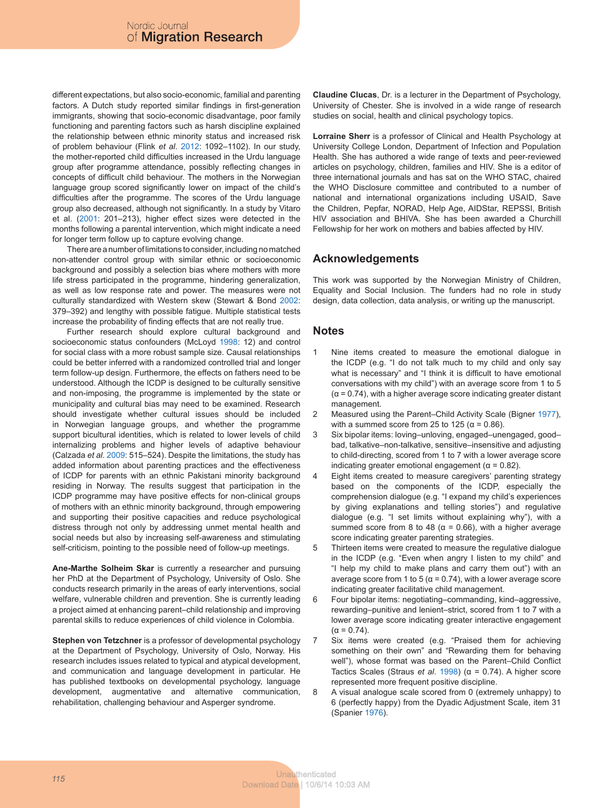different expectations, but also socio-economic, familial and parenting factors. A Dutch study reported similar findings in first-generation immigrants, showing that socio-economic disadvantage, poor family functioning and parenting factors such as harsh discipline explained the relationship between ethnic minority status and increased risk of problem behaviour (Flink *et al*. 2012: 1092–1102). In our study, the mother-reported child difficulties increased in the Urdu language group after programme attendance, possibly reflecting changes in concepts of difficult child behaviour. The mothers in the Norwegian language group scored significantly lower on impact of the child's difficulties after the programme. The scores of the Urdu language group also decreased, although not significantly. In a study by Vitaro et al. (2001: 201–213), higher effect sizes were detected in the months following a parental intervention, which might indicate a need for longer term follow up to capture evolving change.

There are a number of limitations to consider, including no matched non-attender control group with similar ethnic or socioeconomic background and possibly a selection bias where mothers with more life stress participated in the programme, hindering generalization, as well as low response rate and power. The measures were not culturally standardized with Western skew (Stewart & Bond 2002: 379–392) and lengthy with possible fatigue. Multiple statistical tests increase the probability of finding effects that are not really true.

Further research should explore cultural background and socioeconomic status confounders (McLoyd 1998: 12) and control for social class with a more robust sample size. Causal relationships could be better inferred with a randomized controlled trial and longer term follow-up design. Furthermore, the effects on fathers need to be understood. Although the ICDP is designed to be culturally sensitive and non-imposing, the programme is implemented by the state or municipality and cultural bias may need to be examined. Research should investigate whether cultural issues should be included in Norwegian language groups, and whether the programme support bicultural identities, which is related to lower levels of child internalizing problems and higher levels of adaptive behaviour (Calzada *et al*. 2009: 515–524). Despite the limitations, the study has added information about parenting practices and the effectiveness of ICDP for parents with an ethnic Pakistani minority background residing in Norway. The results suggest that participation in the ICDP programme may have positive effects for non-clinical groups of mothers with an ethnic minority background, through empowering and supporting their positive capacities and reduce psychological distress through not only by addressing unmet mental health and social needs but also by increasing self-awareness and stimulating self-criticism, pointing to the possible need of follow-up meetings.

**Ane-Marthe Solheim Skar** is currently a researcher and pursuing her PhD at the Department of Psychology, University of Oslo. She conducts research primarily in the areas of early interventions, social welfare, vulnerable children and prevention. She is currently leading a project aimed at enhancing parent–child relationship and improving parental skills to reduce experiences of child violence in Colombia.

**Stephen von Tetzchner** is a professor of developmental psychology at the Department of Psychology, University of Oslo, Norway. His research includes issues related to typical and atypical development, and communication and language development in particular. He has published textbooks on developmental psychology, language development, augmentative and alternative communication, rehabilitation, challenging behaviour and Asperger syndrome.

**Claudine Clucas**, Dr. is a lecturer in the Department of Psychology, University of Chester. She is involved in a wide range of research studies on social, health and clinical psychology topics.

**Lorraine Sherr** is a professor of Clinical and Health Psychology at University College London, Department of Infection and Population Health. She has authored a wide range of texts and peer-reviewed articles on psychology, children, families and HIV. She is a editor of three international journals and has sat on the WHO STAC, chaired the WHO Disclosure committee and contributed to a number of national and international organizations including USAID, Save the Children, Pepfar, NORAD, Help Age, AIDStar, REPSSI, British HIV association and BHIVA. She has been awarded a Churchill Fellowship for her work on mothers and babies affected by HIV.

# **Acknowledgements**

This work was supported by the Norwegian Ministry of Children, Equality and Social Inclusion. The funders had no role in study design, data collection, data analysis, or writing up the manuscript.

# **Notes**

- Nine items created to measure the emotional dialogue in the ICDP (e.g. "I do not talk much to my child and only say what is necessary" and "I think it is difficult to have emotional conversations with my child") with an average score from 1 to 5  $(\alpha = 0.74)$ , with a higher average score indicating greater distant management.
- 2 Measured using the Parent–Child Activity Scale (Bigner 1977), with a summed score from 25 to 125 ( $\alpha$  = 0.86).
- 3 Six bipolar items: loving–unloving, engaged–unengaged, good– bad, talkative–non-talkative, sensitive–insensitive and adjusting to child-directing, scored from 1 to 7 with a lower average score indicating greater emotional engagement ( $\alpha$  = 0.82).
- 4 Eight items created to measure caregivers' parenting strategy based on the components of the ICDP, especially the comprehension dialogue (e.g. "I expand my child's experiences by giving explanations and telling stories") and regulative dialogue (e.g. "I set limits without explaining why"), with a summed score from 8 to 48 ( $\alpha$  = 0.66), with a higher average score indicating greater parenting strategies.
- 5 Thirteen items were created to measure the regulative dialogue in the ICDP (e.g. "Even when angry I listen to my child" and "I help my child to make plans and carry them out") with an average score from 1 to 5 (α = 0.74), with a lower average score indicating greater facilitative child management.
- 6 Four bipolar items: negotiating–commanding, kind–aggressive, rewarding–punitive and lenient–strict, scored from 1 to 7 with a lower average score indicating greater interactive engagement  $(α = 0.74)$ .
- Six items were created (e.g. "Praised them for achieving something on their own" and "Rewarding them for behaving well"), whose format was based on the Parent–Child Conflict Tactics Scales (Straus *et al*. 1998) (α = 0.74). A higher score represented more frequent positive discipline.
- 8 A visual analogue scale scored from 0 (extremely unhappy) to 6 (perfectly happy) from the Dyadic Adjustment Scale, item 31 (Spanier 1976).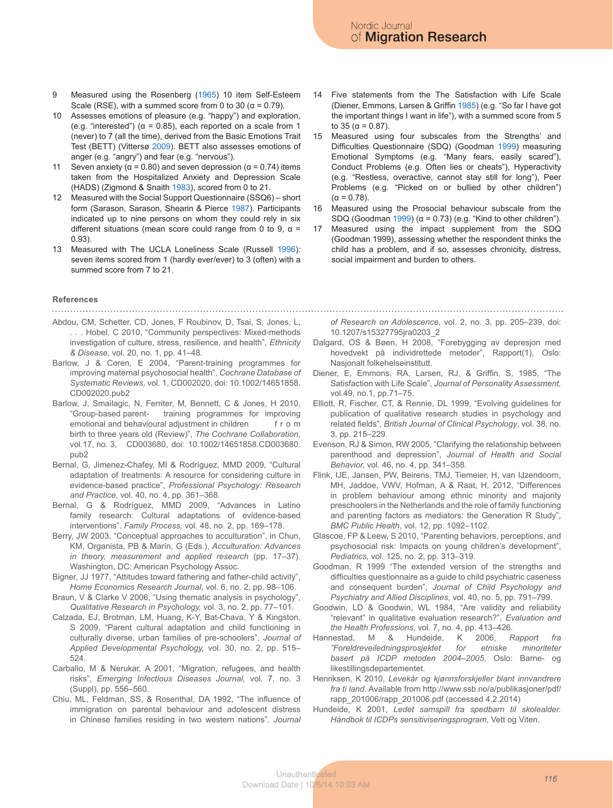- 9 Measured using the Rosenberg (1965) 10 item Self-Esteem Scale (RSE), with a summed score from 0 to 30 ( $\alpha$  = 0.79).
- 10 Assesses emotions of pleasure (e.g. "happy") and exploration, (e.g. "interested") ( $\alpha$  = 0.85), each reported on a scale from 1 (never) to 7 (all the time), derived from the Basic Emotions Trait Test (BETT) (Vittersø 2009). BETT also assesses emotions of anger (e.g. "angry") and fear (e.g. "nervous").
- Seven anxiety ( $\alpha$  = 0.80) and seven depression ( $\alpha$  = 0.74) items taken from the Hospitalized Anxiety and Depression Scale (HADS) (Zigmond & Snaith 1983), scored from 0 to 21.
- 12 Measured with the Social Support Questionnaire (SSQ6) short form (Sarason, Sarason, Shearin & Pierce 1987). Participants indicated up to nine persons on whom they could rely in six different situations (mean score could range from 0 to 9,  $\alpha$  = 0.93).
- 13 Measured with The UCLA Loneliness Scale (Russell 1996)*:* seven items scored from 1 (hardly ever/ever) to 3 (often) with a summed score from 7 to 21.
- 14 Five statements from the The Satisfaction with Life Scale (Diener, Emmons, Larsen & Griffin 1985) (e.g. "So far I have got the important things I want in life"), with a summed score from 5 to 35 (α = 0.87).
- 15 Measured using four subscales from the Strengths' and Difficulties Questionnaire (SDQ) (Goodman 1999) measuring Emotional Symptoms (e.g. "Many fears, easily scared"), Conduct Problems (e.g. Often lies or cheats"), Hyperactivity (e.g. "Restless, overactive, cannot stay still for long"), Peer Problems (e.g. "Picked on or bullied by other children") (α = 0.78).
- 16 Measured using the Prosocial behaviour subscale from the SDQ (Goodman 1999) ( $\alpha$  = 0.73) (e.g. "Kind to other children").
- 17 Measured using the impact supplement from the SDQ (Goodman 1999), assessing whether the respondent thinks the child has a problem, and if so, assesses chronicity, distress, social impairment and burden to others.

#### **References**

- Abdou, CM, Schetter, CD, Jones, F Roubinov, D, Tsai, S, Jones, L, . . . Hobel, C 2010, "Community perspectives: Mixed-methods investigation of culture, stress, resilience, and health", *Ethnicity & Disease,* vol. 20, no. 1, pp. 41–48.
- Barlow, J & Coren, E 2004, "Parent-training programmes for improving maternal psychosocial health", *Cochrane Database of Systematic Reviews,* vol. 1, CD002020, doi: 10.1002/14651858. CD002020.pub2
- Barlow, J, Smailagic, N, Ferriter, M, Bennett, C & Jones, H 2010, "Group-based parent- training programmes for improving emotional and behavioural adjustment in children f r o m birth to three years old (Review)", *The Cochrane Collaboration,*  vol.17, no. 3, CD003680, doi: 10.1002/14651858.CD003680. pub2
- Bernal, G, Jimenez-Chafey, MI & Rodríguez, MMD 2009, "Cultural adaptation of treatments: A resource for considering culture in evidence-based practice", *Professional Psychology: Research and Practice*, vol. 40, no. 4, pp. 361–368.
- Bernal, G & Rodríguez, MMD 2009, "Advances in Latino family research: Cultural adaptations of evidence-based interventions". *Family Process,* vol. 48, no. 2, pp. 169–178.
- Berry, JW 2003, "Conceptual approaches to acculturation", in Chun, KM, Organista, PB & Marín, G (Eds.), *Acculturation: Advances in theory, measurement and applied research* (pp. 17–37). Washington, DC: American Psychology Assoc.
- Bigner, JJ 1977, "Attitudes toward fathering and father-child activity", *Home Economics Research Journal,* vol. 6, no. 2, pp. 98–106.
- Braun, V & Clarke V 2006, "Using thematic analysis in psychology", *Qualitative Research in Psychology,* vol. 3, no. 2, pp. 77–101.
- Calzada, EJ, Brotman, LM, Huang, K-Y, Bat-Chava, Y & Kingston, S 2009, "Parent cultural adaptation and child functioning in culturally diverse, urban families of pre-schoolers", *Journal of Applied Developmental Psychology,* vol. 30, no. 2, pp. 515– 524.
- Carballo, M & Nerukar, A 2001, "Migration, refugees, and health risks", *Emerging Infectious Diseases Journal,* vol. 7, no. 3 (Suppl), pp. 556–560.
- Chiu, ML, Feldman, SS, & Rosenthal, DA 1992, "The influence of immigration on parental behaviour and adolescent distress in Chinese families residing in two western nations". *Journal*

*of Research on Adolescence*, vol. 2, no. 3, pp. 205–239, doi: 10.1207/s15327795jra0203\_2

- Dalgard, OS & Bøen, H 2008, "Forebygging av depresjon med hovedvekt på individrettede metoder", Rapport(1), Oslo: Nasjonalt folkehelseinstitutt.
- Diener, E, Emmons, RA, Larsen, RJ, & Griffin, S, 1985, "The Satisfaction with Life Scale", *Journal of Personality Assessment,*  vol.49, no.1, pp.71–75.
- Elliott, R, Fischer, CT, & Rennie, DL 1999, "Evolving guidelines for publication of qualitative research studies in psychology and related fields", *British Journal of Clinical Psychology*, vol. 38, no. 3, pp. 215–229.
- Evenson, RJ & Simon, RW 2005, "Clarifying the relationship between parenthood and depression", *Journal of Health and Social Behavior,* vol. 46, no. 4, pp. 341–358.
- Flink, IJE, Jansen, PW, Beirens, TMJ, Tiemeier, H, van IJzendoorn, MH, Jaddoe, VWV, Hofman, A & Raat, H, 2012, "Differences in problem behaviour among ethnic minority and majority preschoolers in the Netherlands and the role of family functioning and parenting factors as mediators: the Generation R Study", *BMC Public Health*, vol. 12, pp. 1092–1102.
- Glascoe, FP & Leew, S 2010, "Parenting behaviors, perceptions, and psychosocial risk: Impacts on young children's development", *Pediatrics,* vol. 125, no. 2, pp. 313–319.
- Goodman, R 1999 "The extended version of the strengths and difficulties questionnaire as a guide to child psychiatric caseness and consequent burden", *Journal of Child Psychology and Psychiatry and Allied Disciplines,* vol. 40, no. 5, pp. 791–799.
- Goodwin, LD & Goodwin, WL 1984, "Are validity and reliability "relevant" in qualitative evaluation research?", *Evaluation and the Health Professions*, vol. 7, no. 4, pp. 413–426.
- Hannestad, M & Hundeide, K 2006, *Rapport fra "Foreldreveiledningsprosjektet for etniske minoriteter basert på ICDP metoden 2004–2005*, Oslo: Barne- og likestillingsdepartementet.
- Henriksen, K 2010, *Levekår og kjønnsforskjeller blant innvandrere fra ti land*. Available from http://www.ssb.no/a/publikasjoner/pdf/ rapp\_201006/rapp\_201006.pdf (accessed 4.2.2014)
- Hundeide, K 2001, *Ledet samspill fra spedbarn til skolealder. Håndbok til ICDPs sensitiviseringsprogram*, Vett og Viten.